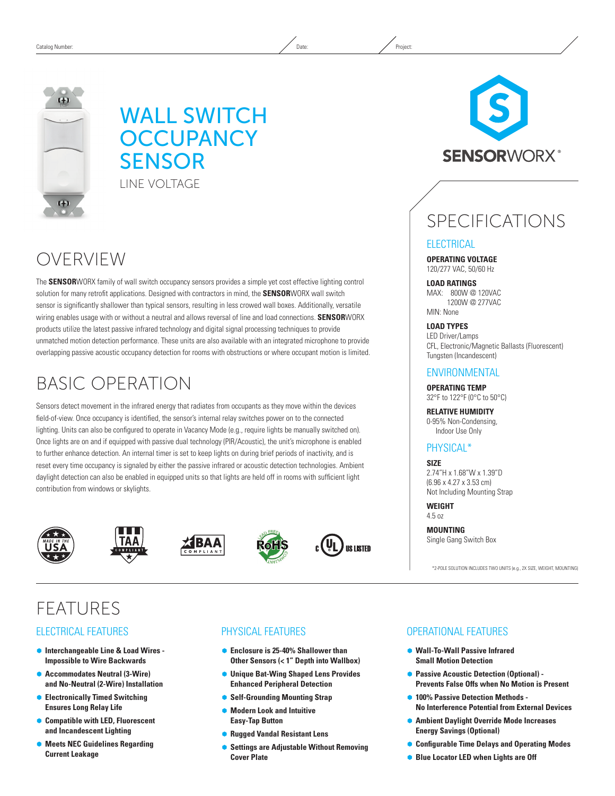

## WALL SWITCH **OCCUPANCY SENSOR** LINE VOLTAGE

## OVERVIEW

The **SENSOR**WORX family of wall switch occupancy sensors provides a simple yet cost effective lighting control solution for many retrofit applications. Designed with contractors in mind, the **SENSOR**WORX wall switch sensor is significantly shallower than typical sensors, resulting in less crowed wall boxes. Additionally, versatile wiring enables usage with or without a neutral and allows reversal of line and load connections. **SENSOR**WORX products utilize the latest passive infrared technology and digital signal processing techniques to provide unmatched motion detection performance. These units are also available with an integrated microphone to provide overlapping passive acoustic occupancy detection for rooms with obstructions or where occupant motion is limited.

# BASIC OPERATION

Sensors detect movement in the infrared energy that radiates from occupants as they move within the devices field-of-view. Once occupancy is identified, the sensor's internal relay switches power on to the connected lighting. Units can also be configured to operate in Vacancy Mode (e.g., require lights be manually switched on). Once lights are on and if equipped with passive dual technology (PIR/Acoustic), the unit's microphone is enabled to further enhance detection. An internal timer is set to keep lights on during brief periods of inactivity, and is reset every time occupancy is signaled by either the passive infrared or acoustic detection technologies. Ambient daylight detection can also be enabled in equipped units so that lights are held off in rooms with sufficient light contribution from windows or skylights.











## FEATURES

### ELECTRICAL FEATURES

- Ã **Interchangeable Line & Load Wires Impossible to Wire Backwards**
- Ã **Accommodates Neutral (3-Wire) and No-Neutral (2-Wire) Installation**
- Ã **Electronically Timed Switching Ensures Long Relay Life**
- Ã **Compatible with LED, Fluorescent and Incandescent Lighting**
- Ã **Meets NEC Guidelines Regarding Current Leakage**

## PHYSICAL FEATURES

- Enclosure is 25-40% Shallower than **Other Sensors (< 1" Depth into Wallbox)**
- Ã **Unique Bat-Wing Shaped Lens Provides Enhanced Peripheral Detection**
- **Self-Grounding Mounting Strap**
- Ã **Modern Look and Intuitive Easy-Tap Button**
- Ã **Rugged Vandal Resistant Lens**
- Ã **Settings are Adjustable Without Removing Cover Plate**



# SPECIFICATIONS

### **ELECTRICAL**

**OPERATING VOLTAGE** 120/277 VAC, 50/60 Hz

**LOAD RATINGS** MAX: 800W @ 120VAC 1200W @ 277VAC MIN: None

**LOAD TYPES**

LED Driver/Lamps CFL, Electronic/Magnetic Ballasts (Fluorescent) Tungsten (Incandescent)

### ENVIRONMENTAL

**OPERATING TEMP** 32°F to 122°F (0°C to 50°C)

**RELATIVE HUMIDITY** 0-95% Non-Condensing, Indoor Use Only

## PHYSICAL\*

**SIZE** 2.74"H x 1.68"W x 1.39"D (6.96 x 4.27 x 3.53 cm) Not Including Mounting Strap

**WEIGHT**  4.5 oz

**MOUNTING** Single Gang Switch Box

\*2-POLE SOLUTION INCLUDES TWO UNITS (e.g., 2X SIZE, WEIGHT, MOUNTING)

### OPERATIONAL FEATURES

- Ã **Wall-To-Wall Passive Infrared Small Motion Detection**
- **Passive Acoustic Detection (Optional) -Prevents False Offs when No Motion is Present**
- $\bullet$  **100% Passive Detection Methods -No Interference Potential from External Devices**
- Ã **Ambient Daylight Override Mode Increases Energy Savings (Optional)**
- Ã **Configurable Time Delays and Operating Modes**
- **Blue Locator LED when Lights are Off**

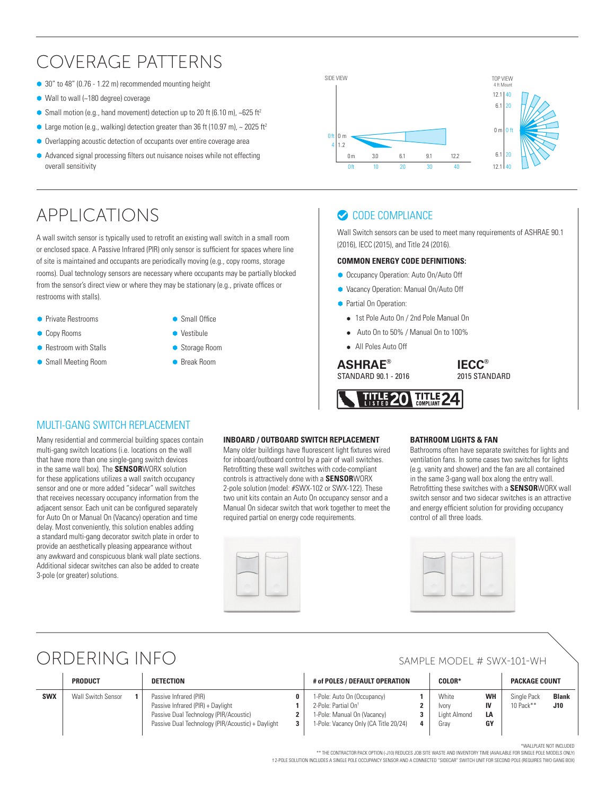## COVERAGE PATTERNS

- 30" to 48" (0.76 1.22 m) recommended mounting height
- $\bullet$  Wall to wall (~180 degree) coverage
- Small motion (e.g., hand movement) detection up to 20 ft (6.10 m),  $\sim$  625 ft<sup>2</sup>
- **•** Large motion (e.g., walking) detection greater than 36 ft (10.97 m),  $\sim$  2025 ft<sup>2</sup>
- Overlapping acoustic detection of occupants over entire coverage area
- Ã Advanced signal processing filters out nuisance noises while not effecting overall sensitivity

## APPLICATIONS

A wall switch sensor is typically used to retrofit an existing wall switch in a small room or enclosed space. A Passive Infrared (PIR) only sensor is sufficient for spaces where line of site is maintained and occupants are periodically moving (e.g., copy rooms, storage rooms). Dual technology sensors are necessary where occupants may be partially blocked from the sensor's direct view or where they may be stationary (e.g., private offices or restrooms with stalls).

- **Private Restrooms**
- **Copy Rooms**
- **Restroom with Stalls**
- Ã Small Meeting Room
- Small Office Ã Vestibule
- Storage Room
- 



## CODE COMPLIANCE

Wall Switch sensors can be used to meet many requirements of ASHRAE 90.1 (2016), IECC (2015), and Title 24 (2016).

#### **COMMON ENERGY CODE DEFINITIONS:**

- **Occupancy Operation: Auto On/Auto Off**
- Ã Vacancy Operation: Manual On/Auto Off
- **•** Partial On Operation:
	- 1st Pole Auto On / 2nd Pole Manual On
	- Auto On to 50% / Manual On to 100%
	- All Poles Auto Off

## **ASHRAE<sup>®</sup>** Break Room **ASHRAE**<sup>®</sup>

STANDARD 90.1 - 2016

**IECC®** 2015 STANDARD



### MULTI-GANG SWITCH REPLACEMENT

Many residential and commercial building spaces contain multi-gang switch locations (i.e. locations on the wall that have more than one single-gang switch devices in the same wall box). The **SENSOR**WORX solution for these applications utilizes a wall switch occupancy sensor and one or more added "sidecar" wall switches that receives necessary occupancy information from the adjacent sensor. Each unit can be configured separately for Auto On or Manual On (Vacancy) operation and time delay. Most conveniently, this solution enables adding a standard multi-gang decorator switch plate in order to provide an aesthetically pleasing appearance without any awkward and conspicuous blank wall plate sections. Additional sidecar switches can also be added to create 3-pole (or greater) solutions.

#### **INBOARD / OUTBOARD SWITCH REPLACEMENT**

Many older buildings have fluorescent light fixtures wired for inboard/outboard control by a pair of wall switches. Retrofitting these wall switches with code-compliant controls is attractively done with a **SENSOR**WORX 2-pole solution (model: #SWX-102 or SWX-122). These two unit kits contain an Auto On occupancy sensor and a Manual On sidecar switch that work together to meet the required partial on energy code requirements.

### **BATHROOM LIGHTS & FAN**

Bathrooms often have separate switches for lights and ventilation fans. In some cases two switches for lights (e.g. vanity and shower) and the fan are all contained in the same 3-gang wall box along the entry wall. Retrofitting these switches with a **SENSOR**WORX wall switch sensor and two sidecar switches is an attractive and energy efficient solution for providing occupancy control of all three loads.



## ORDERING INFO SAMPLE MODEL # SWX-101-WH

|            | <b>PRODUCT</b>            | DETECTION                                                                                                                                                       | # of POLES / DEFAULT OPERATION                                                                                                         | <b>COLOR*</b>                                                          | <b>PACKAGE COUNT</b>                                   |
|------------|---------------------------|-----------------------------------------------------------------------------------------------------------------------------------------------------------------|----------------------------------------------------------------------------------------------------------------------------------------|------------------------------------------------------------------------|--------------------------------------------------------|
| <b>SWX</b> | <b>Wall Switch Sensor</b> | Passive Infrared (PIR)<br>Passive Infrared (PIR) + Daylight<br>Passive Dual Technology (PIR/Acoustic)<br>Passive Dual Technology (PIR/Acoustic) + Daylight<br>3 | 1-Pole: Auto On (Occupancy)<br>2-Pole: Partial On <sup>+</sup><br>1-Pole: Manual On (Vacancy)<br>1-Pole: Vacancy Only (CA Title 20/24) | <b>WH</b><br>White<br><b>Ivory</b><br>Light Almond<br>LA<br>GY<br>Grav | Single Pack<br><b>Blank</b><br>10 Pack**<br><b>J10</b> |

\*WALLPLATE NOT INCLUDED

\*\* THE CONTRACTOR PACK OPTION (-J10) REDUCES JOB SITE WASTE AND INVENTORY TIME (AVAILABLE FOR SINGLE POLE MODELS ONLY)

† 2-POLE SOLUTION INCLUDES A SINGLE POLE OCCUPANCY SENSOR AND A CONNECTED "SIDECAR" SWITCH UNIT FOR SECOND POLE (REQUIRES TWO GANG BOX)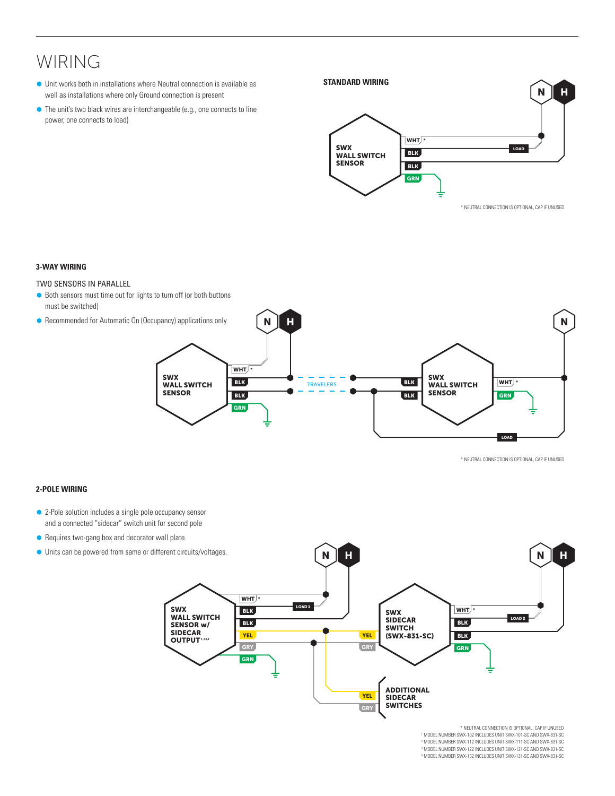## WIRING

 $\bullet$  Unit works both in installations where Neutral connection is available as well as installations where only Ground connection is present

Standard Wiring

 $\bullet$  The unit's two black wires are interchangeable (e.g., one connects to line power, one connects to load)



**\*** NEUTRAL CONNECTION IS OPTIONAL, CAP IF UNUSED \* NEUTRAL CONNECTION IS OPTIONAL, CAP IF UNUSED

### **3-WAY WIRING**

### TWO SENSORS IN PARALLEL

- Both sensors must time out for lights to turn off (or both buttons must be switched)
- Recommended for Automatic On (Occupancy) applications only



**\*** NEUTRAL CONNECTION IS OPTIONAL, CAP IF UNUSED \* NEUTRAL CONNECTION IS OPTIONAL, CAP IF UNUSED

### **2-POLE WIRING**

- and a connected "sidecar" switch unit for second pole • 2-Pole solution includes a single pole occupancy sensor
- Requires two-gang box and decorator wall plate.
- $\bullet$  Units can be powered from same or different circuits/voltages.



<sup>2</sup> MODEL NUMBER SWX-112 INCLUDES UNIT SWX-111-SC AND SWX-831-SC \* NEUTRAL CONNECTION IS OPTIONAL, CAP IF UNUSED <sup>1</sup> MODEL NUMBER SWX-102 INCLUDES UNIT SWX-101-SC AND SWX-831-SC <sup>3</sup> MODEL NUMBER SWX-122 INCLUDES UNIT SWX-121-SC AND SWX-831-SC A MODEL NUMBER SWX-132 INCLUDES UNIT SWX-131-SC AND SWX-831-SC